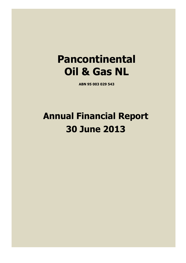# **Pancontinental Oil & Gas NL**

**ABN 95 003 029 543** 

# **Annual Financial Report 30 June 2013**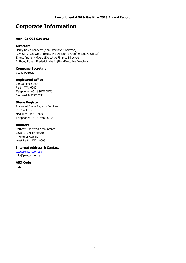### **Corporate Information**

#### **ABN 95 003 029 543**

#### **Directors**

Henry David Kennedy (Non-Executive Chairman) Roy Barry Rushworth (Executive Director & Chief Executive Officer) Ernest Anthony Myers (Executive Finance Director) Anthony Robert Frederick Maslin (Non-Executive Director)

#### **Company Secretary**

Vesna Petrovic

#### **Registered Office**

288 Stirling Street Perth WA 6000 Telephone: +61 8 9227 3220 Fax: +61 8 9227 3211

#### **Share Register**

Advanced Share Registry Services PO Box 1156 Nedlands WA 6909 Telephone: +61 8 9389 8033

#### **Auditors**

Rothsay Chartered Accountants Level 1, Lincoln House 4 Ventnor Avenue West Perth WA 6005

#### **Internet Address & Contact**

www.pancon.com.au info@pancon.com.au

#### **ASX Code**

PCL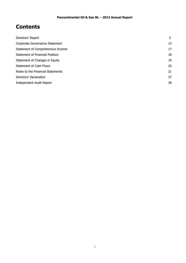### **Contents**

| Directors' Report                 | 3  |
|-----------------------------------|----|
| Corporate Governance Statement    | 13 |
| Statement of Comprehensive Income | 17 |
| Statement of Financial Position   | 18 |
| Statement of Changes in Equity    | 19 |
| <b>Statement of Cash Flows</b>    | 20 |
| Notes to the Financial Statements | 21 |
| Directors' Declaration            | 37 |
| Independent Audit Report          | 38 |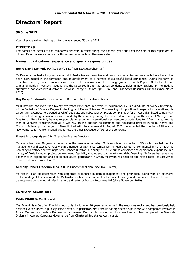### **Directors' Report**

#### **30 June 2013**

Your directors submit their report for the year ended 30 June 2013.

**DIRECTORS**<br>The names and details of the company's directors in office during the financial year and until the date of this report are as follows. Directors were in office for this entire period unless otherwise stated.

#### **Names, qualifications, experience and special responsibilities**

**Henry David Kennedy** MA (Geology), SEG (Non-Executive Chairman)

Mr Kennedy has had a long association with Australian and New Zealand resource companies and as a technical director has been instrumental in the formation and/or development of a number of successful listed companies. During his term as executive director, these companies were involved in discovery of the Tubridgi gas field, South Pepper, North Herald and Chervil oil fields in Western Australia and the Kupe South and Rua oil/gas condensate fields in New Zealand. Mr Kennedy is currently a non-executive director of Norwest Energy NL (since April 1997) and East Africa Resources Limited (since March 2013).

#### **Roy Barry Rushworth**, BSc (Executive Director, Chief Executive Officer)

Mr Rushworth has more than twenty five years experience in petroleum exploration. He is a graduate of Sydney University, with a Bachelor of Science Degree in Geology and Marine Sciences. Commencing with positions in exploration operations, his career then extended to a period as Chief Geologist and subsequently Exploration Manager for an Australian listed company. A number of oil and gas discoveries were made by the company during that time. More recently, as the General Manager and Director of Afrex Limited, he was responsible for acquiring international new venture opportunities for Afrex Limited and its then co-venturer Pancontinental Oil & Gas NL. In this position he identified and negotiated projects in Malta, Kenya and Morocco. Following the merger of Afrex Limited with Pancontinental in August 2005, he accepted the position of Director - New Ventures for Pancontinental and is now the Chief Executive Officer of the company.

#### **Ernest Anthony Myers** CPA (Executive Finance Director)

Mr Myers has over 30 years experience in the resources industry. Mr Myers is an accountant (CPA) who has held senior management and executive roles within a number of ASX listed companies. Mr Myers joined Pancontinental in March 2004 as Company Secretary and was appointed Finance Director in January 2009. He brings corporate and operational experience in a variety of fields including project development, feasibility studies and both equity and debt financing. Mr Myers has extensive experience in exploration and operational issues, particularly in Africa. Mr Myers has been an alternate director of East Africa Resources Limited since June 2010.

#### **Anthony Robert Frederick Maslin** BBus (Independent Non-Executive Director)

Mr Maslin is an ex-stockbroker with corporate experience in both management and promotion, along with an extensive understanding of financial markets. Mr Maslin has been instrumental in the capital raisings and promotion of several resource development companies. Mr Maslin is also a director of Buxton Resources Ltd (since November 2010).

#### **COMPANY SECRETARY**

#### **Vesna Petrovic**, BComm, CPA

Mrs Petrovic is a Certified Practicing Accountant with over 10 years experience in the resources sector and has previously held positions with numerous publicly listed entities. In particular, Mrs Petrovic has significant experience with companies involved in Africa. Mrs Petrovic holds a Bachelor of Commerce, Major in Accounting and Business Law and has completed the Graduate Diploma in Applied Corporate Governance from Chartered Secretaries Australia Ltd.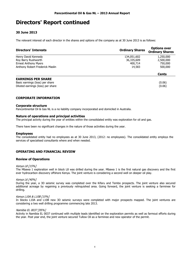#### **30 June 2013**

The relevant interest of each director in the shares and options of the company as at 30 June 2013 is as follows:

| <b>Directors' Interests</b>                                          | <b>Ordinary Shares</b> | <b>Options over</b><br><b>Ordinary Shares</b> |
|----------------------------------------------------------------------|------------------------|-----------------------------------------------|
| Henry David Kennedy                                                  | 134,051,602            | 1,250,000                                     |
| Roy Barry Rushworth                                                  | 36,335,609             | 2,500,000                                     |
| <b>Ernest Anthony Myers</b>                                          | 400,714                | 750,000                                       |
| Anthony Robert Frederick Maslin                                      | 14,583                 | 500,000                                       |
|                                                                      |                        | <b>Cents</b>                                  |
| <b>EARNINGS PER SHARE</b>                                            |                        |                                               |
| Basic earnings (loss) per share<br>Diluted earnings (loss) per share |                        | (0.06)<br>(0.06)                              |

#### **CORPORATE INFORMATION**

#### **Corporate structure**

Pancontinental Oil & Gas NL is a no liability company incorporated and domiciled in Australia.

#### **Nature of operations and principal activities**

The principal activity during the year of entities within the consolidated entity was exploration for oil and gas.

There have been no significant changes in the nature of those activities during the year.

#### **Employees**

The consolidated entity had no employees as at 30 June 2013, (2012: no employees). The consolidated entity employs the services of specialised consultants where and when needed.

#### **OPERATING AND FINANCIAL REVIEW**

#### **Review of Operations**

#### Kenya L8 [15%]

The Mbawa 1 exploration well in block L8 was drilled during the year. Mbawa 1 is the first natural gas discovery and the first ever hydrocarbon discovery offshore Kenya. The joint venture is considering a second well on deeper oil play.

#### Kenya L6 [40%]

During the year, a 3D seismic survey was completed over the Kifaru and Tembo prospects. The joint venture also secured additional acreage by regaining a previously relinquished area. Going forward, the joint venture is seeking a farminee for drilling.

#### Kenya L10A & L10B [15%]

In blocks L10A and L10B new 3D seismic surveys were completed with major prospects mapped. The joint ventures are considering a two well drilling programme commencing late 2013.

#### Namibia EL 0037 [95%]

Activity in Namibia EL 0037 continued with multiple leads identified on the exploration permits as well as farmout efforts during the year. Post year end, the joint venture secured Tullow Oil as a farminee and new operator of the permit.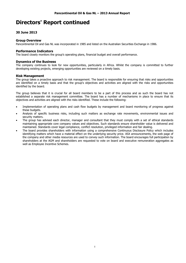#### **30 June 2013**

#### **Group Overview**

Pancontinental Oil and Gas NL was incorporated in 1985 and listed on the Australian Securities Exchange in 1986.

#### **Performance Indicators**

The board closely monitors the group's operating plans, financial budget and overall performance.

#### **Dynamics of the Business**

The company continues to look for new opportunities, particularly in Africa. Whilst the company is committed to further developing existing projects, emerging opportunities are reviewed on a timely basis.

#### **Risk Management**

The group takes a proactive approach to risk management. The board is responsible for ensuring that risks and opportunities are identified on a timely basis and that the group's objectives and activities are aligned with the risks and opportunities identified by the board.

The group believes that it is crucial for all board members to be a part of this process and as such the board has not established a separate risk management committee. The board has a number of mechanisms in place to ensure that its objectives and activities are aligned with the risks identified. These include the following:

- Implementation of operating plans and cash flow budgets by management and board monitoring of progress against these budgets.
- Analysis of specific business risks, including such matters as exchange rate movements, environmental issues and security matters.
- The group has advised each director, manager and consultant that they must comply with a set of ethical standards maintaining appropriate core company values and objectives. Such standards ensure shareholder value is delivered and maintained. Standards cover legal compliance, conflict resolution, privileged information and fair dealing.
- The board provides shareholders with information using a comprehensive Continuous Disclosure Policy which includes identifying matters which have a material effect on the underlying security price. ASX announcements, the web page of the company and other media resources are used to convey such information. The board encourages full participation by shareholders at the AGM and shareholders are requested to vote on board and executive remuneration aggregates as well as Employee Incentive Schemes.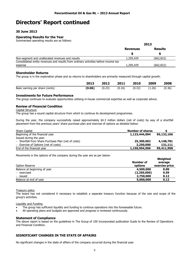#### **30 June 2013**

#### **Operating Results for the Year**

Summarised operating results are as follows:

|                                                                                     | 2013            |                |  |
|-------------------------------------------------------------------------------------|-----------------|----------------|--|
|                                                                                     | <b>Revenues</b> | <b>Results</b> |  |
|                                                                                     |                 |                |  |
| Non-segment and unallocated revenues and results                                    | 1,295,429       | (662,822)      |  |
| Consolidated entity revenues and results from ordinary activities before income tax |                 |                |  |
| expense                                                                             | 1,295,429       | (662,822)      |  |

#### **Shareholder Returns**

The group is in the exploration phase and so returns to shareholders are primarily measured through capital growth.

|                                 | 2013   | 2012   | 2011   | 2010   | 2009   | 2008   |
|---------------------------------|--------|--------|--------|--------|--------|--------|
| Basic earning per share (cents) | (0.06) | (0.23) | (0.16) | (0.32) | (1.26) | (0.36) |

#### **Investments for Future Performance**

The group continues to evaluate opportunities utilising in-house commercial expertise as well as corporate advice.

#### **Review of Financial Condition**

#### Capital Structure

The group has a sound capital structure from which to continue its development programmes.

During the year, the company successfully raised approximately \$4.3 million dollars (net of costs) by way of a shortfall placement from the previous years' share purchase plan and exercise of options as detailed below:

| <b>Share Capital</b>                                | <b>Number of shares</b> |            |
|-----------------------------------------------------|-------------------------|------------|
| Beginning of the financial year                     | 1,123,444,094           | 95,132,106 |
| Issued during the year:                             |                         |            |
| - Shortfall from Share Purchase Plan (net of costs) | 25,300,002              | 4,148,781  |
| - Exercise of Options (net of costs)                | 2,250,000               | 131,111    |
| End of the financial year                           | 1,150,994,096           | 99,411,998 |

Movements in the options of the company during the year are as per below:

| Option Reserve               | Number of<br>options | Weighted<br>average<br>exercise price |
|------------------------------|----------------------|---------------------------------------|
| Balance at beginning of year | 4,500,000            | 0.09                                  |
| - exercised                  | (2,250,000)          | 0.59                                  |
| - issued                     | 2,750,000            | 0.12                                  |
| Balance at end of year       | 5,000,000            | 0.12                                  |

Treasury policy

The board has not considered it necessary to establish a separate treasury function because of the size and scope of the group's activities.

#### Liquidity and Funding

- The group has sufficient liquidity and funding to continue operations into the foreseeable future.
- All operating plans and budgets are approved and progress is reviewed continuously.

#### **Statement of Compliance**

The above report is based on the guidelines in The Group of 100 Incorporated publication Guide to the Review of Operations and Financial Condition.

#### **SIGNIFICANT CHANGES IN THE STATE OF AFFAIRS**

No significant changes in the state of affairs of the company occurred during the financial year.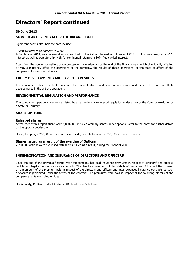#### **30 June 2013**

#### **SIGNIFICANT EVENTS AFTER THE BALANCE DATE**

Significant events after balance date include:

#### Tullow Oil farm-in to Namibia EL 0037

In September 2013, Pancontinental announced that Tullow Oil had farmed in to licence EL 0037. Tullow were assigned a 65% interest as well as operatorship, with Pancontinental retaining a 30% free carried interest.

Apart from the above, no matters or circumstances have arisen since the end of the financial year which significantly affected or may significantly affect the operations of the company, the results of those operations, or the state of affairs of the company in future financial years.

#### **LIKELY DEVELOPMENTS AND EXPECTED RESULTS**

The economic entity expects to maintain the present status and level of operations and hence there are no likely developments in the entity's operations.

#### **ENVIRONMENTAL REGULATION AND PERFORMANCE**

The company's operations are not regulated by a particular environmental regulation under a law of the Commonwealth or of a State or Territory.

#### **SHARE OPTIONS**

#### **Unissued shares**

At the date of this report there were 5,000,000 unissued ordinary shares under options. Refer to the notes for further details on the options outstanding.

During the year, 2,250,000 options were exercised (as per below) and 2,750,000 new options issued.

#### **Shares issued as a result of the exercise of Options**

2,250,000 options were exercised with shares issued as a result, during the financial year.

#### **INDEMNIFICATION AND INSURANCE OF DIRECTORS AND OFFICERS**

Since the end of the previous financial year the company has paid insurance premiums in respect of directors' and officers' liability and legal expenses insurance contracts. The directors have not included details of the nature of the liabilities covered or the amount of the premium paid in respect of the directors and officers and legal expenses insurance contracts as such disclosure is prohibited under the terms of the contract. The premiums were paid in respect of the following officers of the company and its controlled entities:

HD Kennedy, RB Rushworth, EA Myers, ARF Maslin and V Petrovic.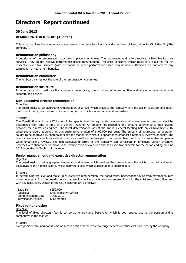#### **30 June 2013**

#### **REMUNERATION REPORT (Audited)**

This report outlines the remuneration arrangements in place for directors and executives of Pancontinental Oil & Gas NL ("the company").

#### **Remuneration philosophy**

A description of the remuneration structures in place is as follows: The non-executive directors received a fixed fee for their services. They do not receive performance based remuneration. The chief executive officer received a fixed fee for his respective executive services (with no bonus or other performance-based remuneration). Directors do not receive any termination or retirement benefits.

#### **Remuneration committee**

The full board carries out the role of the remuneration committee.

#### **Remuneration structure**

In accordance with best practice corporate governance, the structure of non-executive and executive remuneration is separate and distinct.

#### **Non-executive director remuneration**

#### **Objective**

The board seeks to set aggregate remuneration at a level which provides the company with the ability to attract and retain directors of the highest calibre, whilst incurring a cost which is acceptable to shareholders.

#### **Structure**

The Constitution and the ASX Listing Rules specify that the aggregate remuneration of non-executive directors shall be determined from time to time by a general meeting. An amount not exceeding the amount determined is then divided between the directors as agreed. The latest determination was at the Annual General Meeting held on 29 November 2007 when shareholders approved an aggregate remuneration of \$400,000 per year. The amount of aggregate remuneration sought to be approved by shareholders and the manner in which it is apportioned amongst directors is reviewed annually. The board considers advice from external sources as well as the fees paid to non-executive directors of comparable companies when undertaking reviews. The non-executive directors of the company can participate in Employee Option Incentive Schemes with shareholder approval. The remuneration of executive and non-executive directors for the period ending 30 June 2013 is detailed in Table 1 of this report.

#### **Senior management and executive director remuneration**

#### **Objective**

The board seeks to set aggregate remuneration at a level which provides the company with the ability to attract and retain executives of the highest calibre, whilst incurring a cost which is acceptable to shareholders.

#### **Structure**

In determining the level and make up of executive remuneration, the board takes independent advice from external sources when necessary. It is the board's policy that employment contracts are only entered into with the chief executive officer and with key executives. Details of the CEO's contract are as follows:

| Basic Sum:          | \$650,000                      |
|---------------------|--------------------------------|
| Capacity:           | <b>Chief Executive Officer</b> |
| Commencement Date:  | 1 July 2012                    |
| Termination Period: | 6-12 months                    |

#### **Fixed remuneration**

#### **Objective**

The level of fixed directors' fees is set so as to provide a base level which is both appropriate to the position and is competitive in the market.

#### Structure

Fixed primary remuneration is paid on a cash basis and there are no fringe benefits or other costs incurred by the company.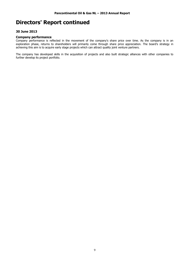#### **30 June 2013**

#### **Company performance**

Company performance is reflected in the movement of the company's share price over time. As the company is in an exploration phase, returns to shareholders will primarily come through share price appreciation. The board's strategy in achieving this aim is to acquire early stage projects which can attract quality joint venture partners.

The company has developed skills in the acquisition of projects and also built strategic alliances with other companies to further develop its project portfolio.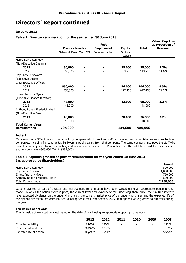#### **30 June 2013**

#### **Table 1: Director remuneration for the year ended 30 June 2013**

|                                                  |                         | <b>Post</b>       |                     |              | <b>Value of options</b><br>as proportion of |
|--------------------------------------------------|-------------------------|-------------------|---------------------|--------------|---------------------------------------------|
|                                                  | <b>Primary benefits</b> | <b>Employment</b> | <b>Equity</b>       | <b>Total</b> | <b>Revenue</b>                              |
|                                                  | Salary & Fees Cash STI  | Superannuation    | Options<br>(Issued) |              |                                             |
| Henry David Kennedy                              |                         |                   |                     |              |                                             |
| (Non-Executive Chairman)                         |                         |                   |                     |              |                                             |
| 2013                                             | 50,000                  |                   | 28,000              | 78,000       | 2.2%                                        |
| 2012                                             | 50,000                  |                   | 63,726              | 113,726      | 14.6%                                       |
| Roy Barry Rushworth                              |                         |                   |                     |              |                                             |
| (Executive Director,                             |                         |                   |                     |              |                                             |
| Chief Executive Officer)                         |                         |                   |                     |              |                                             |
| 2013                                             | 650,000                 |                   | 56,000              | 706,000      | 4.3%                                        |
| 2012                                             | 550,000                 |                   | 127,453             | 677,453      | 29.2%                                       |
| Ernest Anthony Myers <sup>1</sup>                |                         |                   |                     |              |                                             |
| (Executive Finance Director)                     |                         |                   |                     |              |                                             |
| 2013                                             | 48,000                  |                   | 42,000              | 90,000       | 3.2%                                        |
| 2012                                             | 48,000                  |                   |                     | 48,000       |                                             |
| Anthony Robert Frederick Maslin                  |                         |                   |                     |              |                                             |
| (Non-Executive Director)                         |                         |                   |                     |              |                                             |
| 2013                                             | 48,000                  |                   | 28,000              | 76,000       | 2.2%                                        |
| 2012                                             | 48,000                  |                   |                     | 48,000       |                                             |
| <b>Total Current Year</b><br><b>Remuneration</b> | 796,000                 |                   | 154,000             | 950,000      |                                             |

#### **Note 1.**

Mr Myers has a 50% interest in a consulting company which provides staff, accounting and administrative services to listed companies, including Pancontinental. Mr Myers is paid a salary from that company. The same company also pays the staff who provide company secretarial, accounting and administrative services to Pancontinental. The total fees paid for these services and functions was \$305,400 (2012: \$289,500).

#### **Table 2: Options granted as part of remuneration for the year ended 30 June 2013 (as approved by Shareholders)**

|                                 | <b>Issued</b> |
|---------------------------------|---------------|
| Henry David Kennedy             | 500,000       |
| Roy Barry Rushworth             | 1,000,000     |
| Ernest Anthony Myers            | 750,000       |
| Anthony Robert Frederick Maslin | 500,000       |
| <b>Total Options Issued</b>     | 2,750,000     |

Options granted as part of director and management remuneration have been valued using an appropriate option pricing model, in which the option exercise price, the current level and volatility of the underlying share price, the risk-free interest rate, expected dividends on the underlying shares, the current market price of the underlying shares and the expected life of the options are taken into account. See following table for further details. 2,750,000 options were granted to directors during the year.

#### **Fair values of options:**

The fair value of each option is estimated on the date of grant using an appropriate option pricing model.

|                         | 2013        | 2012    | 2011           | 2010   | 2009                     | 2008    |
|-------------------------|-------------|---------|----------------|--------|--------------------------|---------|
| Expected volatility     | <b>110%</b> | 120%    | $\blacksquare$ | $\sim$ | $\overline{\phantom{a}}$ | 113%    |
| Risk-free interest rate | 2.74%       | 3.57%   | $\blacksquare$ | $\sim$ | $\overline{\phantom{0}}$ | 6.42%   |
| Expected life of option | 4 vears     | 3 years | $\blacksquare$ | $\sim$ | $\overline{\phantom{0}}$ | 5 years |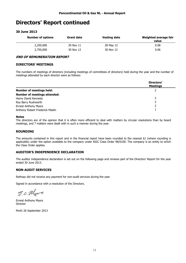#### **30 June 2013**

| <b>Number of options</b> | <b>Grant date</b> | Vesting date | Weighted average fair<br>value |
|--------------------------|-------------------|--------------|--------------------------------|
| 2,250,000                | 29 Nov 11         | 28 May 12    | 0.08                           |
| 2,750,000                | 30 Nov 12         | 30 Nov 12    | 0.06                           |

#### **END OF REMUNERATION REPORT**

#### **DIRECTORS' MEETINGS**

The numbers of meetings of directors (including meetings of committees of directors) held during the year and the number of meetings attended by each director were as follows:

|                                     | Directors'<br><b>Meetings</b> |
|-------------------------------------|-------------------------------|
| <b>Number of meetings held:</b>     |                               |
| <b>Number of meetings attended:</b> |                               |
| Henry David Kennedy                 |                               |
| Roy Barry Rushworth                 |                               |
| <b>Ernest Anthony Myers</b>         |                               |
| Anthony Robert Frederick Maslin     |                               |

#### **Notes**

The directors are of the opinion that it is often more efficient to deal with matters by circular resolutions than by board meetings, and 7 matters were dealt with in such a manner during the year.

#### **ROUNDING**

The amounts contained in this report and in the financial report have been rounded to the nearest \$1 (where rounding is applicable) under the option available to the company under ASIC Class Order 98/0100. The company is an entity to which the Class Order applies.

#### **AUDITOR'S INDEPENDENCE DECLARATION**

The auditor independence declaration is set out on the following page and reviews part of the Directors' Report for the year ended 30 June 2013.

#### **NON-AUDIT SERVICES**

Rothsay did not receive any payment for non-audit services during the year.

Signed in accordance with a resolution of the Directors.

E.a. Myers

Ernest Anthony Myers Director

Perth 26 September 2013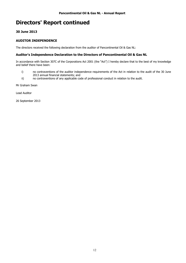#### **30 June 2013**

#### **AUDITOR INDEPENDENCE**

The directors received the following declaration from the auditor of Pancontinental Oil & Gas NL:

#### **Auditor's Independence Declaration to the Directors of Pancontinental Oil & Gas NL**

In accordance with Section 307C of the Corporations Act 2001 (the "Act") I hereby declare that to the best of my knowledge and belief there have been:

- i) no contraventions of the auditor independence requirements of the Act in relation to the audit of the 30 June 2013 annual financial statements; and
- ii) no contraventions of any applicable code of professional conduct in relation to the audit.

Mr Graham Swan

Lead Auditor

26 September 2013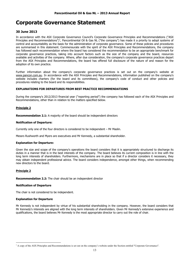#### **30 June 2013**

In accordance with the ASX Corporate Governance Council's Corporate Governance Principles and Recommendations ("ASX Principles and Recommendations")<sup>1</sup>, Pancontinental Oil & Gas NL ("the company") has made it a priority to adopt systems of control and accountability as the basis for the administration of corporate governance. Some of these policies and procedures are summarised in this statement. Commensurate with the spirit of the ASX Principles and Recommendations, the company has followed each recommendation where the board has considered the recommendation to be an appropriate benchmark for corporate governance practices, taking into account factors such as the size of the company and the board, resources available and activities of the company. Where, after due consideration, the company's corporate governance practices depart from the ASX Principles and Recommendations, the board has offered full disclosure of the nature of and reason for the adoption of its own practice.

Further information about the company's corporate governance practices is set out on the company's website at www.pancon.com.au. In accordance with the ASX Principles and Recommendations, information published on the company's website includes charters (for the board and its committees), the company's code of conduct and other policies and procedures relating to the board and its responsibilities.

#### **EXPLANATIONS FOR DEPARTURES FROM BEST PRACTICE RECOMMENDATIONS**

During the company's 2012/2013 financial year ("reporting period") the company has followed each of the ASX Principles and Recommendations, other than in relation to the matters specified below.

#### **Principle 2**

**Recommendation 2.1:** A majority of the board should be independent directors

#### **Notification of Departure:**

Currently only one of the four directors is considered to be independent – Mr Maslin.

Messrs Rushworth and Myers are executives and Mr Kennedy, a substantial shareholder.

#### **Explanation for Departure:**

Given the size and scope of the company's operations the board considers that it is appropriately structured to discharge its duties in a manner that is in the best interests of the company. The board believes its current composition is in line with the long term interests of shareholders. Furthermore, mechanisms are in place so that if a director considers it necessary, they may obtain independent professional advice. The board considers independence, amongst other things, when recommending new directors to the board.

#### **Principle 2**

 $\overline{a}$ 

**Recommendation 2.2:** The chair should be an independent director

#### **Notification of Departure**

The chair is not considered to be independent.

#### **Explanation for Departure**

Mr Kennedy is not independent by virtue of his substantial shareholding in the company. However, the board considers that Mr Kennedy's interests are aligned with the long term interests of shareholders. Given Mr Kennedy's extensive experience and qualifications, the board believes Mr Kennedy is the most appropriate director to carry out the role of chair.

<sup>&</sup>lt;sup>1</sup> A copy of the ASX Principles and Recommendations is set out on the company's website under the Section entitled "Corporate Governance".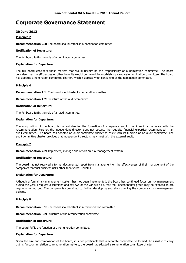#### **30 June 2013**

#### **Principle 2**

**Recommendation 2.4:** The board should establish a nomination committee

#### **Notification of Departure:**

The full board fulfils the role of a nomination committee.

#### **Explanation for Departure:**

The full board considers those matters that would usually be the responsibility of a nomination committee. The board considers that no efficiencies or other benefits would be gained by establishing a separate nomination committee. The board has adopted a nomination committee charter, which it applies when convening as the nomination committee.

#### **Principle 4**

**Recommendation 4.1:** The board should establish an audit committee

**Recommendation 4.2:** Structure of the audit committee

#### **Notification of Departure:**

The full board fulfils the role of an audit committee.

#### **Explanation for Departure:**

The composition of the board is not suitable for the formation of a separate audit committee in accordance with the recommendation. Further, the independent director does not possess the requisite financial expertise recommended in an audit committee. The board has adopted an audit committee charter to assist with its function as an audit committee. The audit committee charter provides that independent directors may meet with the external auditor.

#### **Principle 7**

**Recommendation 7.2:** Implement, manage and report on risk management system

#### **Notification of Departure:**

The board has not received a formal documented report from management on the effectiveness of their management of the company's material business risks other than verbal updates.

#### **Explanation for Departure:**

Although a formal risk management system has not been implemented, the board has continued focus on risk management during the year. Frequent discussions and reviews of the various risks that the Pancontinental group may be exposed to are regularly carried out. The company is committed to further developing and strengthening the company's risk management policies.

#### **Principle 8**

**Recommendation 8.1:** The board should establish a remuneration committee

**Recommendation 8.2:** Structure of the remuneration committee

#### **Notification of Departure:**

The board fulfils the function of a remuneration committee.

#### **Explanation for Departure:**

Given the size and composition of the board, it is not practicable that a separate committee be formed. To assist it to carry out its function in relation to remuneration matters, the board has adopted a remuneration committee charter.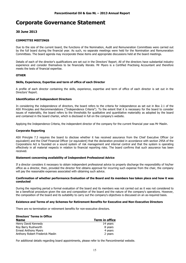#### **30 June 2013**

#### **COMMITTEE MEETINGS**

Due to the size of the current board, the functions of the Nomination, Audit and Remuneration Committees were carried out by the full board during the financial year. As such, no separate meetings were held for the Nomination and Remuneration Committees. The board agenda may incorporate these items and appropriate discussions held at the board meetings.

Details of each of the director's qualifications are set out in the Directors' Report. All of the directors have substantial industry experience and consider themselves to be financially literate. Mr Myers is a Certified Practising Accountant and therefore meets the tests of financial expertise.

#### **OTHER**

#### **Skills, Experience, Expertise and term of office of each Director**

A profile of each director containing the skills, experience, expertise and term of office of each director is set out in the Directors' Report.

#### **Identification of Independent Directors**

In considering the independence of directors, the board refers to the criteria for independence as set out in Box 2.1 of the ASX Principles and Recommendations ("Independence Criteria"). To the extent that it is necessary for the board to consider issues of materiality, the board refers to the thresholds for qualitative and quantitative materiality as adopted by the board and contained in the board charter, which is disclosed in full on the company's website.

Applying the Independence Criteria, the independent director of the company for the current financial year was Mr Maslin.

#### **Corporate Reporting**

ASX Principle 7.3 requires the board to disclose whether it has received assurance from the Chief Executive Officer (or equivalent) and the Chief Financial Officer (or equivalent) that the declaration provided in accordance with section 295A of the Corporations Act is founded on a sound system of risk management and internal control and that the system is operating effectively in all material respects in relation to financial reporting risks. The board confirms that such assurance has been received.

#### **Statement concerning availability of Independent Professional Advice**

If a director considers it necessary to obtain independent professional advice to properly discharge the responsibility of his/her office as a director, then, provided the director first obtains approval for incurring such expense from the chair, the company will pay the reasonable expenses associated with obtaining such advice.

#### **Confirmation of whether performance Evaluation of the Board and its members has taken place and how it was conducted**

During the reporting period a formal evaluation of the board and its members was not carried out as it was not considered to be a beneficial procedure given the size and composition of the board and the nature of the company's operations. However, the composition of the board and its suitability to carry out the company's objectives is discussed on an as-required basis.

#### **Existence and Terms of any Schemes for Retirement Benefits for Executive and Non-Executive Directors**

There are no termination or retirement benefits for non-executive directors.

#### **Directors' Terms in Office**

| <b>Name</b>                     | Term in office |
|---------------------------------|----------------|
| Henry David Kennedy             | 14 years       |
| Roy Barry Rushworth             | 8 years        |
| <b>Ernest Anthony Myers</b>     | 4 years        |
| Anthony Robert Frederick Maslin | 2 years        |

For additional details regarding board appointments, please refer to the Pancontinental website.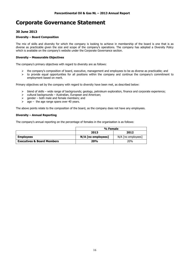#### **30 June 2013**

#### **Diversity – Board Composition**

The mix of skills and diversity for which the company is looking to achieve in membership of the board is one that is as diverse as practicable given the size and scope of the company's operations. The company has adopted a Diversity Policy which is available on the company's website under the Corporate Governance section.

#### **Diversity – Measurable Objectives**

The company's primary objectives with regard to diversity are as follows:

- the company's composition of board, executive, management and employees to be as diverse as practicable; and
- $\triangleright$  to provide equal opportunities for all positions within the company and continue the company's commitment to employment based on merit.

Primary objectives set by the company with regard to diversity have been met, as described below:

- $\triangleright$  blend of skills wide range of backgrounds; geology, petroleum exploration, finance and corporate experience;
- $\triangleright$  cultural backgrounds Australian, European and American;
- $\geq$  gender both male and female members; and
- $\geq$  age the age range spans over 40 years.

The above points relate to the composition of the board, as the company does not have any employees.

#### **Diversity – Annual Reporting**

The company's annual reporting on the percentage of females in the organisation is as follows:

|                                       | % Female             |                      |  |
|---------------------------------------|----------------------|----------------------|--|
|                                       | 2013<br>2012         |                      |  |
| <b>Employees</b>                      | $N/A$ [no employees] | $N/A$ [no employees] |  |
| <b>Executives &amp; Board Members</b> | <b>20%</b>           | 20%                  |  |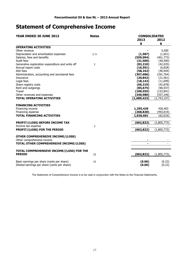### **Statement of Comprehensive Income**

| YEAR ENDED 30 JUNE 2013<br><b>Notes</b>          |                |             | <b>CONSOLIDATED</b> |  |  |
|--------------------------------------------------|----------------|-------------|---------------------|--|--|
|                                                  |                | 2013        | 2012                |  |  |
|                                                  |                | \$          | \$                  |  |  |
| <b>OPERATING ACTIVITIES</b>                      |                |             |                     |  |  |
| Other revenue                                    |                |             | 5,500               |  |  |
| Depreciation and amortisation expenses           | 2, 6           | (1, 587)    | (1,651)             |  |  |
| Salaries, fees and benefits                      |                | (559, 094)  | (461, 773)          |  |  |
| Audit fees                                       |                | (31,500)    | (40, 500)           |  |  |
| Generative exploration expenditure and write off | $\overline{2}$ | (82, 210)   | (42, 035)           |  |  |
| Annual report costs                              |                | (16, 591)   | (6,828)             |  |  |
| <b>ASX fees</b>                                  |                | (58, 242)   | (40, 944)           |  |  |
| Administration, accounting and secretarial fees  |                | (307, 686)  | (291, 764)          |  |  |
| Insurance                                        |                | (20, 842)   | (21, 561)           |  |  |
| Legal fees                                       |                | (18, 142)   | (11,699)            |  |  |
| Share registry costs                             |                | (66, 319)   | (42, 878)           |  |  |
| Rent and outgoings                               |                | (85, 675)   | (96, 937)           |  |  |
| Travel                                           |                | (100, 555)  | (132, 841)          |  |  |
| Other revenues and expenses                      |                | (340,980)   | (557, 246)          |  |  |
| <b>TOTAL OPERATING ACTIVITIES</b>                |                | (1,689,423) | (1,743,157)         |  |  |
|                                                  |                |             |                     |  |  |
| <b>FINANCING ACTIVITIES</b>                      |                |             |                     |  |  |
| Financing income                                 |                | 1,295,429   | 430,403             |  |  |
| Financing expense                                |                | (268, 828)  | (493, 019)          |  |  |
| <b>TOTAL FINANCING ACTIVITIES</b>                |                | 1,026,601   | (62, 616)           |  |  |
|                                                  |                |             |                     |  |  |
| PROFIT/(LOSS) BEFORE INCOME TAX                  |                | (662, 822)  | (1,805,773)         |  |  |
| Income tax expense                               | 3              |             |                     |  |  |
| PROFIT/(LOSS) FOR THE PERIOD                     |                | (662, 822)  | (1,805,773)         |  |  |
|                                                  |                |             |                     |  |  |
| <b>OTHER COMPREHENSIVE INCOME/(LOSS)</b>         |                |             |                     |  |  |
| Other comprehensive income                       |                |             |                     |  |  |
| TOTAL OTHER COMPREHENSIVE INCOME/(LOSS)          |                |             |                     |  |  |
|                                                  |                |             |                     |  |  |
| TOTAL COMPREHENSIVE INCOME/(LOSS) FOR THE        |                |             |                     |  |  |
| <b>PERIOD</b>                                    | 10             | (662, 822)  | (1,805,773)         |  |  |
|                                                  |                |             |                     |  |  |
| Basic earnings per share (cents per share)       | 15             | (0.06)      | (0.23)              |  |  |
| Diluted earnings per share (cents per share)     |                | (0.06)      | (0.23)              |  |  |

The Statement of Comprehensive Income is to be read in conjunction with the Notes to the Financial Statements.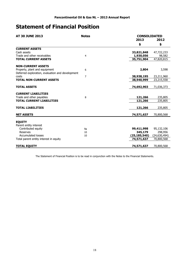### **Statement of Financial Position**

| <b>AT 30 JUNE 2013</b><br><b>Notes</b>           |                |                | <b>CONSOLIDATED</b> |  |  |
|--------------------------------------------------|----------------|----------------|---------------------|--|--|
|                                                  |                | 2013           | 2012                |  |  |
|                                                  |                | \$             | \$                  |  |  |
| <b>CURRENT ASSETS</b>                            |                |                |                     |  |  |
| Cash assets                                      |                | 33,821,848     | 47,722,233          |  |  |
| Trade and other receivables                      | $\overline{4}$ | 1,930,056      | 98,582              |  |  |
| <b>TOTAL CURRENT ASSETS</b>                      |                | 35,751,904     | 47,820,815          |  |  |
| <b>NON-CURRENT ASSETS</b>                        |                |                |                     |  |  |
| Property, plant and equipment                    | 6              | 2,804          | 3,598               |  |  |
| Deferred exploration, evaluation and development |                |                |                     |  |  |
| costs                                            | $\overline{7}$ | 38,938,195     | 23,211,960          |  |  |
| <b>TOTAL NON-CURRENT ASSETS</b>                  |                | 38,940,999     | 23,215,558          |  |  |
|                                                  |                |                |                     |  |  |
| <b>TOTAL ASSETS</b>                              |                | 74,692,903     | 71,036,373          |  |  |
| <b>CURRENT LIABILITIES</b>                       |                |                |                     |  |  |
| Trade and other payables                         | 8              | 121,266        | 235,805             |  |  |
| <b>TOTAL CURRENT LIABILITIES</b>                 |                | 121,266        | 235,805             |  |  |
| <b>TOTAL LIABILITIES</b>                         |                | 121,266        | 235,805             |  |  |
|                                                  |                |                |                     |  |  |
| <b>NET ASSETS</b>                                |                | 74,571,637     | 70,800,568          |  |  |
| <b>EQUITY</b>                                    |                |                |                     |  |  |
| Parent entity interest                           |                |                |                     |  |  |
| Contributed equity                               | 9a             | 99,411,998     | 95,132,106          |  |  |
| Reserves                                         | 10             | 345,179        | 298,956             |  |  |
| <b>Accumulated losses</b>                        | 10             | (25, 185, 540) | (24, 630, 494)      |  |  |
| Total parent entity interest in equity           |                | 74,571,637     | 70,800,568          |  |  |
|                                                  |                |                |                     |  |  |
| <b>TOTAL EQUITY</b>                              |                | 74,571,637     | 70,800,568          |  |  |

The Statement of Financial Position is to be read in conjunction with the Notes to the Financial Statements.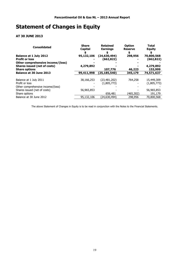## **Statement of Changes in Equity**

### **AT 30 JUNE 2013**

| <b>Consolidated</b>                                        | <b>Share</b><br>Capital | <b>Retained</b><br><b>Earnings</b> | <b>Option</b><br><b>Reserve</b><br>\$ | <b>Total</b><br>Equity |
|------------------------------------------------------------|-------------------------|------------------------------------|---------------------------------------|------------------------|
| <b>Balance at 1 July 2012</b>                              | 95,132,106              | (24, 630, 494)                     | 298,956                               | 70,800,568             |
| <b>Profit or loss</b><br>Other comprehensive income/(loss) |                         | (662,822)                          |                                       | (662,822)              |
| <b>Shares issued (net of costs)</b>                        | 4,279,892               |                                    |                                       | 4,279,892              |
| <b>Share options</b>                                       |                         | 107,776                            | 46,223                                | 153,999                |
| <b>Balance at 30 June 2013</b>                             | 99,411,998              | (25,185,540)                       | 345,179                               | 74,571,637             |
|                                                            |                         |                                    |                                       |                        |
| Balance at 1 July 2011                                     | 38,166,253              | (23,481,202)                       | 764,258                               | 15,449,309             |
| Profit or loss                                             |                         | (1,805,773)                        |                                       | (1,805,773)            |
| Other comprehensive income/(loss)                          |                         |                                    |                                       |                        |
| Shares issued (net of costs)                               | 56,965,853              |                                    |                                       | 56,965,853             |
| Share options                                              |                         | 656,481                            | (465,302)                             | 191,179                |
| Balance at 30 June 2012                                    | 95,132,106              | (24,630,494)                       | 298,956                               | 70,800,568             |
|                                                            |                         |                                    |                                       |                        |

The above Statement of Changes in Equity is to be read in conjunction with the Notes to the Financial Statements.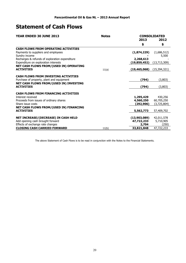### **Statement of Cash Flows**

| YEAR ENDED 30 JUNE 2013<br><b>Notes</b>                                                |       |                           | <b>CONSOLIDATED</b> |  |  |
|----------------------------------------------------------------------------------------|-------|---------------------------|---------------------|--|--|
|                                                                                        |       | 2013                      | 2012                |  |  |
|                                                                                        |       | \$                        | \$                  |  |  |
| <b>CASH FLOWS FROM OPERATING ACTIVITIES</b>                                            |       |                           |                     |  |  |
| Payments to suppliers and employees                                                    |       | (1,874,229)               | (1,686,512)         |  |  |
| Sundry income                                                                          |       |                           | 5,500               |  |  |
| Recharges & refunds of exploration expenditure<br>Expenditure on exploration interests |       | 2,268,613<br>(19,859,452) | (13, 713, 309)      |  |  |
| NET CASH FLOWS FROM/(USED IN) OPERATING                                                |       |                           |                     |  |  |
| <b>ACTIVITIES</b>                                                                      | 11(a) | (19, 465, 068)            | (15,394,321)        |  |  |
|                                                                                        |       |                           |                     |  |  |
| <b>CASH FLOWS FROM INVESTING ACTIVITIES</b>                                            |       |                           |                     |  |  |
| Purchase of property, plant and equipment                                              |       | (794)                     | (3,803)             |  |  |
| NET CASH FLOWS FROM/(USED IN) INVESTING<br><b>ACTIVITIES</b>                           |       | (794)                     |                     |  |  |
|                                                                                        |       |                           | (3,803)             |  |  |
| <b>CASH FLOWS FROM FINANCING ACTIVITIES</b>                                            |       |                           |                     |  |  |
| Interest received                                                                      |       | 1,295,429                 | 430,256             |  |  |
| Proceeds from issues of ordinary shares                                                |       | 4,560,250                 | 60,705,250          |  |  |
| Share issue costs                                                                      |       | (292,906)                 | (3,725,804)         |  |  |
| NET CASH FLOWS FROM/(USED IN) FINANCING                                                |       |                           |                     |  |  |
| <b>ACTIVITIES</b>                                                                      |       | 5,562,773                 | 57,409,702          |  |  |
| NET INCREASE/(DECREASE) IN CASH HELD                                                   |       | (13,903,089)              | 42,011,578          |  |  |
| Add opening cash brought forward                                                       |       | 47,722,233                | 5,710,905           |  |  |
| Effects of exchange rate changes                                                       |       | 2,704                     | (250)               |  |  |
| <b>CLOSING CASH CARRIED FORWARD</b>                                                    | 11(b) | 33,821,848                | 47,722,233          |  |  |

The above Statement of Cash Flows is to be read in conjunction with the Notes to the Financial Statements.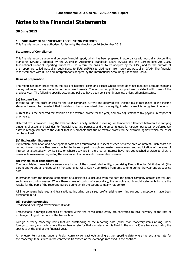#### **30 June 2013**

#### **1. SUMMARY OF SIGNIFICANT ACCOUNTING POLICIES**

This financial report was authorised for issue by the directors on 26 September 2013.

#### **Statement of Compliance**

This financial report is a general purpose financial report, which has been prepared in accordance with Australian Accounting Standards (AASBs), adopted by the Australian Accounting Standards Board (AASB) and the Corporations Act 2001. International Financial Reporting Standards (IFRSs) form the basis of AASBs adopted by the AASB, and for the purpose of this report are called Australian equivalents to IRFS (AIFRS) to distinguish from previous Australian GAAP. The financial report complies with IFRSs and interpretations adopted by the International Accounting Standards Board.

#### **Basis of preparation**

The report has been prepared on the basis of historical costs and except where stated does not take into account changing money values or current valuation of non-current assets. The accounting policies adopted are consistent with those of the previous year. The following specific accounting policies have been consistently applied, unless otherwise stated.

#### **(a) Income Tax**

Income tax on the profit or loss for the year comprises current and deferred tax. Income tax is recognised in the income statement except to the extent that it relates to items recognised directly in equity, in which case it is recognised in equity.

Current tax is the expected tax payable on the taxable income for the year, and any adjustment to tax payable in respect of prior years.

Deferred tax is provided using the balance sheet liability method, providing for temporary difference between the carrying amounts of assets and liabilities for financial reporting purposes and the amounts used for taxation purposes. A deferred tax asset is recognised only to the extent that it is probable that future taxable profits will be available against which the asset can be utilised.

#### **(b) Exploration Expenses**

Exploration, evaluation and development costs are accumulated in respect of each separate area of interest. Such costs are carried forward where they are expected to be recouped through successful development and exploitation of the area of interest or alternatively, by its sale, or where activities in the area of interest have not yet reached a stage to allow a reasonable assessment regarding the existence of economically recoverable reserves.

#### **(c) Principles of consolidation**

The consolidated financial statements are those of the consolidated entity, comprising Pancontinental Oil & Gas NL (the parent entity) and all entities which Pancontinental Oil & Gas NL controlled from time to time during the year and at balance date.

Information from the financial statements of subsidiaries is included from the date the parent company obtains control until such time as control ceases. Where there is loss of control of a subsidiary, the consolidated financial statements include the results for the part of the reporting period during which the parent company has control.

All intercompany balances and transactions, including unrealised profits arising from intra-group transactions, have been eliminated in full.

#### **(d) Foreign currencies**

Translation of foreign currency transactions

Transactions in foreign currencies of entities within the consolidated entity are converted to local currency at the rate of exchange ruling at the date of the transaction.

Foreign currency monetary items that are outstanding at the reporting date (other than monetary items arising under foreign currency contracts where the exchange rate for that monetary item is fixed in the contract) are translated using the spot rate at the end of the financial year.

A monetary item arising under a foreign currency contract outstanding at the reporting date where the exchange rate for the monetary item is fixed in the contract is translated at the exchange rate fixed in the contract.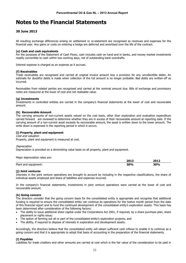#### **30 June 2013**

All resulting exchange differences arising on settlement or re-statement are recognised as revenues and expenses for the financial year. Any gains or costs on entering a hedge are deferred and amortised over the life of the contract.

#### **(e) Cash and cash equivalents**

For the purposes of the Statement of Cash Flows, cash includes cash on hand and in banks, and money market investments readily convertible to cash within two working days, net of outstanding bank overdrafts.

Interest expense is charged as an expense as it accrues.

#### **(f) Receivables**

Trade receivables are recognised and carried at original invoice amount less a provision for any uncollectible debts. An estimate for doubtful debts is made when collection of the full amount is no longer probable. Bad debts are written-off as incurred.

Receivables from related parties are recognised and carried at the nominal amount due. Bills of exchange and promissory notes are measured at the lower of cost and net realisable value.

#### **(g) Investments**

Investments in controlled entities are carried in the company's financial statements at the lower of cost and recoverable amount.

#### **(h) Recoverable Amount**

The carrying amounts of non-current assets valued on the cost basis, other than exploration and evaluation expenditure carried forward are reviewed to determine whether they are in excess of their recoverable amount at reporting date. If the carrying amount of a non-current asset exceeds its recoverable amount, the asset is written down to the lower amount. The write down is expensed in the reporting period in which it occurs.

#### **(i) Property, plant and equipment**

Cost and valuation Property, plant and equipment is measured at cost.

#### **Depreciation**

Depreciation is provided on a diminishing value basis on all property, plant and equipment.

Major depreciation rates are:

|                              | 2013       | 2012<br>-. . |
|------------------------------|------------|--------------|
| Plant<br>' equipment:<br>and | <b>30%</b> | 30%<br>___   |

#### **(j) Joint ventures**

Interests in the joint venture operations are brought to account by including in the respective classifications, the share of individual assets employed and share of liabilities and expenses incurred.

In the company's financial statements, investments in joint venture operations were carried at the lower of cost and recoverable amount.

#### **(k) Going concern**

The directors consider that the going concern basis for the consolidated entity is appropriate and recognise that additional funding is required to ensure the consolidated entity can continue its operations for the twelve month period from the date of this financial report and to fund the continued development of the consolidated entity's exploration assets. This basis has been determined after consideration of the following factors:

- The ability to issue additional share capital under the Corporations Act 2001, if required, by a share purchase plan, share placement or rights issue;
- The option of farming out all or part of the consolidated entity's exploration projects; and
- The ability, if required to dispose of interests in exploration and development assets.

Accordingly, the directors believe that the consolidated entity will obtain sufficient cash inflows to enable it to continue as a going concern and that it is appropriate to adopt that basis of accounting in the preparation of the financial statements.

#### **(l) Payables**

Liabilities for trade creditors and other amounts are carried at cost which is the fair value of the consideration to be paid in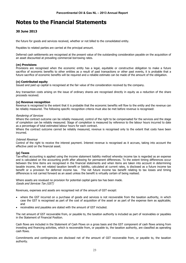#### **30 June 2013**

the future for goods and services received, whether or not billed to the consolidated entity.

Payables to related parties are carried at the principal amount.

Deferred cash settlements are recognised at the present value of the outstanding consideration payable on the acquisition of an asset discounted at prevailing commercial borrowing rates.

#### **(m) Provisions**

Provisions are recognised when the economic entity has a legal, equitable or constructive obligation to make a future sacrifice of economic benefits to other entities as a result of past transactions or other past events, it is probable that a future sacrifice of economic benefits will be required and a reliable estimate can be made of the amount of the obligation.

#### **(n) Contributed equity**

Issued and paid up capital is recognised at the fair value of the consideration received by the company.

Any transaction costs arising on the issue of ordinary shares are recognised directly in equity as a reduction of the share proceeds received.

#### **(o) Revenue recognition**

Revenue is recognised to the extent that it is probable that the economic benefits will flow to the entity and the revenue can be reliably measured. The following specific recognition criteria must also be met before revenue is recognised:

#### Rendering of Services

Where the contract outcome can be reliably measured, control of the right to be compensated for the services and the stage of completion can be reliably measured. Stage of completion is measured by reference to the labour hours incurred to date as a percentage of total estimated labour hours for each contract.

Where the contract outcome cannot be reliably measured, revenue is recognised only to the extent that costs have been incurred.

#### Interest Revenue

Control of the right to receive the interest payment. Interest revenue is recognised as it accrues, taking into account the effective yield on the financial asset.

#### **(p) Taxes**

Tax-effect accounting is applied using the income statement liability method whereby income tax is regarded as an expense and is calculated on the accounting profit after allowing for permanent differences. To the extent timing differences occur between the time items are recognised in the financial statements and when items are taken into account in determining taxable income, the net related taxation benefit or liability, calculated at current rates, is disclosed as a future income tax benefit or a provision for deferred income tax. The net future income tax benefit relating to tax losses and timing differences is not carried forward as an asset unless the benefit is virtually certain of being realised.

Where assets are revalued no provision for potential capital gains tax has been made. Goods and Services Tax (GST)

Revenues, expenses and assets are recognised net of the amount of GST except:

- where the GST incurred on a purchase of goods and services is not recoverable from the taxation authority, in which case the GST is recognised as part of the cost of acquisition of the asset or as part of the expense item as applicable; and
- receivables and payables are stated with the amount of GST included.

The net amount of GST recoverable from, or payable to, the taxation authority is included as part of receivables or payables in the Statement of Financial Position.

Cash flows are included in the Statement of Cash Flows on a gross basis and the GST component of cash flows arising from investing and financing activities, which is recoverable from, or payable to, the taxation authority, are classified as operating cash flows.

Commitments and contingencies are disclosed net of the amount of GST recoverable from, or payable to, the taxation authority.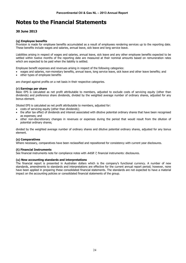#### **30 June 2013**

#### **(q) Employee benefits**

Provision is made for employee benefits accumulated as a result of employees rendering services up to the reporting date. These benefits include wages and salaries, annual leave, sick leave and long service leave.

Liabilities arising in respect of wages and salaries, annual leave, sick leave and any other employee benefits expected to be settled within twelve months of the reporting date are measured at their nominal amounts based on remuneration rates which are expected to be paid when the liability is settled.

Employee benefit expenses and revenues arising in respect of the following categories:

- wages and salaries, non-monetary benefits, annual leave, long service leave, sick leave and other leave benefits; and
- other types of employee benefits

are charged against profits on a net basis in their respective categories.

#### **(r) Earnings per share**

Basic EPS is calculated as net profit attributable to members, adjusted to exclude costs of servicing equity (other than dividends) and preference share dividends, divided by the weighted average number of ordinary shares, adjusted for any bonus element.

Diluted EPS is calculated as net profit attributable to members, adjusted for:

- costs of servicing equity (other than dividends);
- the after tax effect of dividends and interest associated with dilutive potential ordinary shares that have been recognised as expenses; and
- other non-discretionary changes in revenues or expenses during the period that would result from the dilution of potential ordinary shares;

divided by the weighted average number of ordinary shares and dilutive potential ordinary shares, adjusted for any bonus element.

#### **(s) Comparatives**

Where necessary, comparatives have been reclassified and repositioned for consistency with current year disclosures.

#### **(t) Financial Instruments**

See financial instruments note for compliance notes with AASB 7, financial instruments: disclosures.

#### **(u) New accounting standards and interpretations**

The financial report is presented in Australian dollars which is the company's functional currency. A number of new standards, amendments to standards and interpretations are effective for the current annual report period; however, none have been applied in preparing these consolidated financial statements. The standards are not expected to have a material impact on the accounting policies or consolidated financial statements of the group.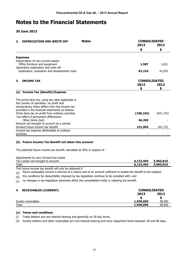**30 June 2013** 

| <b>DEPRECIATION AND WRITE OFF</b><br>2.                                                | <b>Notes</b> |            | <b>CONSOLIDATED</b><br>2013<br>2012<br>\$<br>\$<br>1,587<br>1,651<br>82,210<br>42,035<br><b>CONSOLIDATED</b><br>2013<br>2012<br>\$<br>\$ |  |  |  |
|----------------------------------------------------------------------------------------|--------------|------------|------------------------------------------------------------------------------------------------------------------------------------------|--|--|--|
|                                                                                        |              |            |                                                                                                                                          |  |  |  |
|                                                                                        |              |            |                                                                                                                                          |  |  |  |
| <b>Expenses</b>                                                                        |              |            |                                                                                                                                          |  |  |  |
| Depreciation of non-current assets:<br>Office furniture and equipment                  |              |            |                                                                                                                                          |  |  |  |
| Generative exploration and write off:<br>Exploration, evaluation and development costs |              |            |                                                                                                                                          |  |  |  |
| <b>INCOME TAX</b><br>З.                                                                |              |            |                                                                                                                                          |  |  |  |
|                                                                                        |              |            |                                                                                                                                          |  |  |  |
| (a) Income Tax (Benefit)/Expense                                                       |              |            |                                                                                                                                          |  |  |  |
| The prima facie tax, using tax rates applicable in                                     |              |            |                                                                                                                                          |  |  |  |
| the country of operation, on profit and                                                |              |            |                                                                                                                                          |  |  |  |
| extraordinary items differs from the income tax                                        |              |            |                                                                                                                                          |  |  |  |
| provided in the financial statements as follows:                                       |              |            |                                                                                                                                          |  |  |  |
| Prima facie tax on profit from ordinary activities                                     |              | (198, 104) | (541, 732)                                                                                                                               |  |  |  |
| Tax effect of permanent differences:                                                   |              |            |                                                                                                                                          |  |  |  |
| Other items (net)<br>Amount not brought to account as a carried                        |              | 46,200     |                                                                                                                                          |  |  |  |
| forward future income tax benefit                                                      |              | 151,904    | 541,732                                                                                                                                  |  |  |  |
| Income tax expense attributable to ordinary                                            |              |            |                                                                                                                                          |  |  |  |
| activities                                                                             |              |            |                                                                                                                                          |  |  |  |

#### **(b) Future Income Tax Benefit not taken into account**

The potential future income tax benefit calculated at 30% in respect of :

| Adjustments to carry forward tax losses |           |           |
|-----------------------------------------|-----------|-----------|
| Tax Losses not brought to account       | 6,122,404 | 5,965,816 |
| Total                                   | 6,122,404 | 5,965,816 |

This future income tax benefit will only be obtained if:

(a) future assessable income is derived of a nature and of an amount sufficient to enable the benefit to be realised;

 $(b)$  the conditions for deductibility imposed by tax legislation continue to be complied with; and

(c) no changes in tax legislation adversely affect the consolidated entity in realising the benefit.

#### **4. RECEIVABLES (CURRENT) CONSOLIDATED**

| ----<br>-------------<br>________ | 2013      | 2012   |
|-----------------------------------|-----------|--------|
| Sundry receivables                | 1,930,056 | 98,582 |
| Total                             | 1,930,056 | 98,582 |

#### **(a) Terms and conditions**

(i) Trade debtors are non-interest bearing and generally on 30 day terms.

(ii) Sundry debtors and other receivables are non-interest bearing and have repayment terms between 30 and 90 days.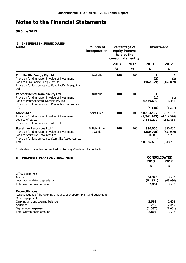**30 June 2013** 

#### **5. INTERESTS IN SUBSIDIARIES**

| <b>Name</b>                                                                                                                                                                                       | <b>Country of</b><br>Percentage of<br>incorporation<br>equity interest<br>held by the<br>consolidated entity |                       |                       |                                        | <b>Investment</b>                      |
|---------------------------------------------------------------------------------------------------------------------------------------------------------------------------------------------------|--------------------------------------------------------------------------------------------------------------|-----------------------|-----------------------|----------------------------------------|----------------------------------------|
|                                                                                                                                                                                                   |                                                                                                              | 2013<br>$\frac{1}{2}$ | 2012<br>$\frac{1}{2}$ | 2013<br>\$                             | 2012<br>\$                             |
| <b>Euro Pacific Energy Pty Ltd</b><br>Provision for diminution in value of investment<br>Loan to Euro Pacific Energy Pty Ltd<br>Provision for loss on loan to Euro Pacific Energy Pty<br>Ltd      | Australia                                                                                                    | 100                   | 100                   | 2<br>(2)<br>(162, 659)                 | 2<br>(2)<br>(162, 889)                 |
| <b>Pancontinental Namibia Pty Ltd</b><br>Provision for diminution in value of investment<br>Loan to Pancontinental Namibia Pty Ltd<br>Provision for loss on loan to Pancontinental Namibia<br>P/L | Australia                                                                                                    | 100                   | 100                   | 1.<br>(1)<br>4,839,699<br>(4, 328)     | 1<br>(1)<br>6,351<br>(1,207)           |
| Afrex Ltd *<br>Provision for diminution in value of investment<br>Loan to Afrex Ltd<br>Provision for loss on loan to Afrex Ltd                                                                    | Saint Lucia                                                                                                  | 100                   | 100                   | 10,584,107<br>(4,541,703)<br>7,561,202 | 10,584,107<br>(4,514,920)<br>4,682,033 |
| <b>Starstrike Resources Ltd *</b><br>Provision for diminution in value of investment<br>Loan to Starstrike Resources Ltd<br>Provision for loss on loan to Starstrike Resources Ltd                | British Virgin<br>Islands                                                                                    | 100                   | 100                   | 380,000<br>(380,000)<br>60,315         | 380,000<br>(380,000)<br>54,760         |
| Total                                                                                                                                                                                             |                                                                                                              |                       |                       | 18,336,633                             | 10,648,235                             |

\*Indicates companies not audited by Rothsay Chartered Accountants.

| <b>PROPERTY, PLANT AND EQUIPMENT</b><br>6.                               | <b>CONSOLIDATED</b><br>2013<br>2012 |          |
|--------------------------------------------------------------------------|-------------------------------------|----------|
|                                                                          | \$                                  | \$       |
| Office equipment                                                         |                                     |          |
| At cost                                                                  | 54,375                              | 53,582   |
| Less: Accumulated depreciation                                           | (51,571)                            | (49,984) |
| Total written down amount                                                | 2,804                               | 3,598    |
| <b>Reconciliations</b>                                                   |                                     |          |
| Reconciliations of the carrying amounts of property, plant and equipment |                                     |          |
| Office equipment                                                         |                                     |          |
| Carrying amount opening balance                                          | 3,598                               | 2,404    |
| Additions                                                                | 793                                 | 2,845    |
| Depreciation expense                                                     | (1,587)                             | (1,651)  |
| Total written down amount                                                | 2,804                               | 3,598    |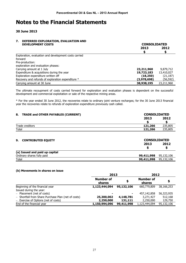#### **30 June 2013**

### **7. DEFERRED EXPLORATION, EVALUATION AND**

| <b>DEVELOPMENT COSTS</b>                              | <b>CONSOLIDATED</b> |            |  |
|-------------------------------------------------------|---------------------|------------|--|
|                                                       | 2013                | 2012       |  |
|                                                       | S                   | S          |  |
| Exploration, evaluation and development costs carried |                     |            |  |
| forward                                               |                     |            |  |
| Pre-production:                                       |                     |            |  |
| exploration and evaluation phases:                    |                     |            |  |
| Carrying amount at 1 July                             | 23,211,960          | 9,879,712  |  |
| Expenditure & acquisitions during the year            | 19,723,183          | 13,410,027 |  |
| Exploration expenditure written off                   | (18,250)            | (21, 187)  |  |
| Recovery and refunds of exploration expenditure *     | (3,978,698)         | (56,592)   |  |
| Carrying amount at 30 June                            | 38,938,195          | 23,211,960 |  |

The ultimate recoupment of costs carried forward for exploration and evaluation phases is dependent on the successful development and commercial exploitation or sale of the respective mining areas.

\* For the year ended 30 June 2012, the recoveries relate to ordinary joint venture recharges; for the 30 June 2013 financial year the recoveries relate to refunds of exploration expenditure previously cash called.

| 8. TRADE and OTHER PAYABLES (CURRENT) |            | <b>CONSOLIDATED</b>         |  |
|---------------------------------------|------------|-----------------------------|--|
|                                       | 2013       | 2012                        |  |
|                                       |            |                             |  |
| Trade creditors                       | 121,266    | 235,805                     |  |
| Total                                 | 121,266    | 235,805                     |  |
| <b>CONTRIBUTED EQUITY</b><br>9.       | 2013       | <b>CONSOLIDATED</b><br>2012 |  |
| (a) Issued and paid up capital        |            |                             |  |
| Ordinary shares fully paid            | 99,411,998 | 95,132,106                  |  |
| Total                                 | 99,411,998 | 95,132,106                  |  |

#### **(b) Movements in shares on issue**

|                                                     | 2013                |            | 2012                       |            |  |
|-----------------------------------------------------|---------------------|------------|----------------------------|------------|--|
|                                                     | Number of<br>shares | \$         | <b>Number of</b><br>shares |            |  |
| Beginning of the financial year                     | 1,123,444,094       | 95,132,106 | 660,779,809                | 38,166,253 |  |
| Issued during the year:                             |                     |            |                            |            |  |
| - Placement (net of costs)                          |                     | ۰          | 457,142,858                | 56,323,935 |  |
| - Shortfall from Share Purchase Plan (net of costs) | 25,300,002          | 4,148,781  | 3,271,427                  | 512,168    |  |
| - Exercise of Options (net of costs)                | 2,250,000           | 131,111    | 2,250,000                  | 129,750    |  |
| End of the financial year                           | 1,150,994,096       | 99,411,998 | 1,123,444,094              | 95,132,106 |  |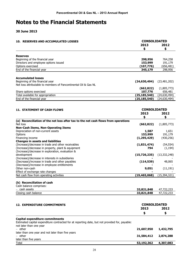#### **30 June 2013**

later than five years

| <b>10. RESERVES AND ACCUMULATED LOSSES</b>                                                                                               | <b>CONSOLIDATED</b><br>2013 | 2012                      |  |
|------------------------------------------------------------------------------------------------------------------------------------------|-----------------------------|---------------------------|--|
|                                                                                                                                          | \$                          | \$                        |  |
| <b>Reserves</b>                                                                                                                          |                             |                           |  |
| Beginning of the financial year                                                                                                          | 298,956                     | 764,258                   |  |
| Directors and employee options issued                                                                                                    | 153,999                     | 191,179                   |  |
| Options exercised                                                                                                                        | (107, 776)                  | (656, 481)                |  |
| End of the financial year                                                                                                                | 345,179                     | 298,956                   |  |
|                                                                                                                                          |                             |                           |  |
| <b>Accumulated losses</b>                                                                                                                |                             |                           |  |
| Beginning of the financial year                                                                                                          | (24, 630, 494)              | (23, 481, 202)            |  |
| Net loss attributable to members of Pancontinental Oil & Gas NL                                                                          |                             |                           |  |
|                                                                                                                                          | (662, 822)<br>107,776       | (1,805,773)               |  |
| Share options exercised<br>Total available for appropriation                                                                             | (25, 185, 540)              | 656,481<br>(24, 630, 494) |  |
| End of the financial year                                                                                                                | (25, 185, 540)              | (24, 630, 494)            |  |
|                                                                                                                                          |                             |                           |  |
|                                                                                                                                          |                             |                           |  |
| <b>11. STATEMENT OF CASH FLOWS</b>                                                                                                       | <b>CONSOLIDATED</b>         |                           |  |
|                                                                                                                                          | 2013                        | 2012                      |  |
| (a) Reconciliation of the net loss after tax to the net cash flows from operations                                                       | \$                          | \$                        |  |
| Net loss                                                                                                                                 | (662, 822)                  | (1,805,773)               |  |
| <b>Non-Cash Items, Non-Operating Items</b>                                                                                               |                             |                           |  |
| Depreciation of non-current assets                                                                                                       | 1,587                       | 1,651                     |  |
| Options                                                                                                                                  | 153,999                     | 191,179                   |  |
| Financing income                                                                                                                         | (1, 295, 429)               | (430, 256)                |  |
| <b>Changes in assets and liabilities</b>                                                                                                 |                             |                           |  |
| (Increase)/decrease in trade and other receivables                                                                                       | (1,831,474)                 | (54, 554)                 |  |
| (Increase)/decrease in property, plant & equipment                                                                                       | 794                         | (1, 194)                  |  |
| (Increase)/decrease in exploration, evaluation &<br>development                                                                          | (15,726,235)                | (13, 332, 248)            |  |
| (Increase)/decrease in interests in subsidiaries                                                                                         |                             |                           |  |
| (Decrease)/increase in trade and other payables                                                                                          | (114, 539)                  | 48,065                    |  |
| (Decrease)/increase in employee entitlements                                                                                             |                             |                           |  |
| Other non-cash                                                                                                                           | 9,051                       | (11, 191)                 |  |
| Effect of exchange rate changes                                                                                                          |                             |                           |  |
| Net cash flow from operating activities                                                                                                  | (19, 465, 068)              | (15, 394, 321)            |  |
| (b) Reconciliation of cash                                                                                                               |                             |                           |  |
| Cash balance comprises:                                                                                                                  |                             |                           |  |
| - cash assets                                                                                                                            | 33,821,848                  | 47,722,233                |  |
| Closing cash balance                                                                                                                     | 33,821,848                  | 47,722,233                |  |
|                                                                                                                                          |                             |                           |  |
| <b>12. EXPENDITURE COMMITMENTS</b>                                                                                                       | <b>CONSOLIDATED</b>         |                           |  |
|                                                                                                                                          | 2013                        | 2012                      |  |
|                                                                                                                                          | \$                          | \$                        |  |
|                                                                                                                                          |                             |                           |  |
| <b>Capital expenditure commitments</b><br>Estimated capital expenditure contracted for at reporting date, but not provided for, payable: |                             |                           |  |
| not later than one year                                                                                                                  |                             |                           |  |
| - other                                                                                                                                  | 21,607,950                  | 1,432,795                 |  |
| later than one year and not later than five years                                                                                        |                             |                           |  |
| - other                                                                                                                                  | 31,584,412                  | 2,874,288                 |  |

Total **53,192,362 4,307,083**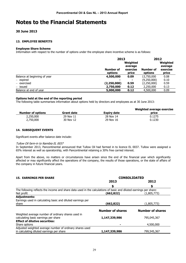#### **30 June 2013**

#### **13. EMPLOYEE BENEFITS**

#### **Employee Share Scheme**

Information with respect to the number of options under the employee share incentive scheme is as follows:

|                              | <b>Number of</b> | 2013<br>Weighted<br>average<br>exercise |             |       |
|------------------------------|------------------|-----------------------------------------|-------------|-------|
|                              | options          | price                                   | options     | price |
| Balance at beginning of year | 4,500,000        | 0.09                                    | 13,750,000  | 0.08  |
| $-$ expired                  |                  | $\blacksquare$                          | (9,250,000) | 0.10  |
| - exercised                  | (2, 250, 000)    | 0.59                                    | (2,250,000) | 0.59  |
| – issued                     | 2,750,000        | 0.12                                    | 2,250,000   | 0.13  |
| Balance at end of year       | 5,000,000        | 0.12                                    | 4,500,000   | 0.09  |

#### **Options held at the end of the reporting period**

The following table summarises information about options held by directors and employees as at 30 June 2013:

| <b>Number of options</b> | <b>Grant date</b> | <b>Expiry date</b> | Weighted average exercise<br>price |
|--------------------------|-------------------|--------------------|------------------------------------|
| 2,250,000                | 29 Nov 11         | 28 Nov 14          | 0.1275                             |
| 2,750,000                | 30 Nov 12         | 29 Nov 16          | 0.1230                             |

#### **14. SUBSEQUENT EVENTS**

Significant events after balance date include:

#### Tullow Oil farm-in to Namibia EL 0037

In September 2013, Pancontinental announced that Tullow Oil had farmed in to licence EL 0037. Tullow were assigned a 65% interest as well as operatorship, with Pancontinental retaining a 30% free carried interest.

Apart from the above, no matters or circumstances have arisen since the end of the financial year which significantly affected or may significantly affect the operations of the company, the results of those operations, or the state of affairs of the company in future financial years.

| <b>15. EARNINGS PER SHARE</b>                                                                                      | <b>CONSOLIDATED</b>     |                         |  |  |
|--------------------------------------------------------------------------------------------------------------------|-------------------------|-------------------------|--|--|
|                                                                                                                    | 2013                    | 2012                    |  |  |
|                                                                                                                    | S                       |                         |  |  |
| The following reflects the income and share data used in the calculations of basic and diluted earnings per share: |                         |                         |  |  |
| Net profit                                                                                                         | (662,822)               | (1,805,773)             |  |  |
| <b>Adjustments:</b>                                                                                                |                         |                         |  |  |
| Earnings used in calculating basic and diluted earnings per                                                        |                         |                         |  |  |
| share                                                                                                              | (662,822)               | (1,805,773)             |  |  |
|                                                                                                                    | <b>Number of shares</b> | <b>Number of shares</b> |  |  |
| Weighted average number of ordinary shares used in<br>calculating basic earnings per share                         | 1,147,339,986           | 795,045,367             |  |  |
| <b>Effect of dilutive securities:</b>                                                                              |                         |                         |  |  |
| Share options                                                                                                      |                         | 4,500,000               |  |  |
| Adjusted weighted average number of ordinary shares used                                                           |                         |                         |  |  |
| in calculating diluted earnings per share                                                                          | 1,147,339,986           | 799,545,367             |  |  |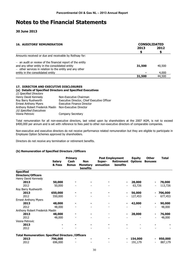**30 June 2013** 

| <b>16. AUDITORS' REMUNERATION</b>                                                                                                                                           | <b>CONSOLIDATED</b> |        |  |
|-----------------------------------------------------------------------------------------------------------------------------------------------------------------------------|---------------------|--------|--|
|                                                                                                                                                                             | 2013                | 2012   |  |
| Amounts received or due and receivable by Rothsay for:                                                                                                                      |                     |        |  |
| $-$ an audit or review of the financial report of the entity<br>and any other entity in the consolidated entity<br>- other services in relation to the entity and any other | 31,500              | 40,500 |  |
| entity in the consolidated entity                                                                                                                                           |                     | 4,000  |  |
|                                                                                                                                                                             | 31,500              | 44,500 |  |

#### **17. DIRECTOR AND EXECUTIVE DISCLOSURES**

#### **(a) Details of Specified Directors and Specified Executives**

| (i) Specified Directors                                |                                             |
|--------------------------------------------------------|---------------------------------------------|
| Henry David Kennedy                                    | Non-Executive Chairman                      |
| Roy Barry Rushworth                                    | Executive Director, Chief Executive Officer |
| <b>Ernest Anthony Myers</b>                            | <b>Executive Finance Director</b>           |
| Anthony Robert Frederick Maslin Non-Executive Director |                                             |
| (ii) Specified Executives                              |                                             |
| Vesna Petrovic                                         | Company Secretary                           |

Total remuneration for all non-executive directors, last voted upon by shareholders at the 2007 AGM, is not to exceed \$400,000 per annum and is set with reference to fees paid to other non-executive directors of comparable companies.

Non-executive and executive directors do not receive performance related remuneration but they are eligible to participate in Employee Option Schemes approved by shareholders.

Directors do not receive any termination or retirement benefits.

#### **(b) Remuneration of Specified Directors /Officers**

|                                                           |                         | <b>Primary</b>       |                                                  | <b>Post Employment</b> |                                      | <b>Equity</b>  | <b>Other</b>   | <b>Total</b> |
|-----------------------------------------------------------|-------------------------|----------------------|--------------------------------------------------|------------------------|--------------------------------------|----------------|----------------|--------------|
|                                                           | <b>Salary</b><br>& Fees | Cash<br><b>Bonus</b> | <b>Non</b><br><b>Monetary</b><br><b>benefits</b> | Super-<br>annuation    | <b>Retirement</b><br><b>benefits</b> | <b>Options</b> | <b>Bonuses</b> |              |
| <b>Specified</b>                                          |                         |                      |                                                  |                        |                                      |                |                |              |
| <b>Directors/Officers</b>                                 |                         |                      |                                                  |                        |                                      |                |                |              |
| Henry David Kennedy                                       |                         |                      |                                                  |                        |                                      |                |                |              |
| 2013                                                      | 50,000                  |                      |                                                  |                        | ۰                                    | 28,000         |                | 78,000       |
| 2012                                                      | 50,000                  |                      |                                                  |                        |                                      | 63,726         |                | 113,726      |
| Roy Barry Rushworth                                       |                         |                      |                                                  |                        |                                      |                |                |              |
| 2013                                                      | 650,000                 |                      |                                                  |                        | ۰.                                   | 56,000         |                | 706,000      |
| 2012                                                      | 550,000                 |                      |                                                  |                        |                                      | 127,453        |                | 677,453      |
| <b>Ernest Anthony Myers</b>                               |                         |                      |                                                  |                        |                                      |                |                |              |
| 2013                                                      | 48,000                  |                      |                                                  |                        | ۰                                    | 42,000         |                | 90,000       |
| 2012                                                      | 48,000                  |                      |                                                  |                        |                                      |                |                | 48,000       |
| Anthony Robert Frederick Maslin                           |                         |                      |                                                  |                        |                                      |                |                |              |
| 2013                                                      | 48,000                  |                      |                                                  |                        | ۰                                    | 28,000         |                | 76,000       |
| 2012                                                      | 48,000                  |                      |                                                  |                        |                                      |                |                | 48,000       |
| Vesna Petrovic                                            |                         |                      |                                                  |                        |                                      |                |                |              |
| 2013                                                      |                         |                      |                                                  |                        |                                      |                |                |              |
| 2012                                                      |                         |                      |                                                  |                        |                                      |                |                |              |
| <b>Total Remuneration: Specified Directors / Officers</b> |                         |                      |                                                  |                        |                                      |                |                |              |
| 2013                                                      | 796,000                 |                      |                                                  |                        |                                      | 154,000        |                | 950,000      |
| 2012                                                      | 696,000                 |                      |                                                  |                        |                                      | 191,179        |                | 887,179      |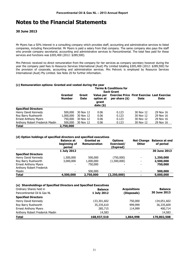#### **30 June 2013**

Mr Myers has a 50% interest in a consulting company which provides staff, accounting and administrative services to listed companies, including Pancontinental. Mr Myers is paid a salary from that company. The same company also pays the staff who provide company secretarial, accounting and administrative services to Pancontinental. The total fees paid for these services and functions was \$305,400 (2012: \$289,500).

Mrs Petrovic received no direct remuneration from the company for her services as company secretary however during the year the company paid fees to Resource Services International (Aust) Pty Limited totalling \$305,400 (2012: \$289,500) for the provision of corporate, accounting and administration services. Mrs Petrovic is employed by Resource Services International (Aust) Pty Limited. See Note 20 for further information.

#### **(c) Remuneration options: Granted and vested during the year**

|                                 | <b>Terms &amp; Conditions for</b><br><b>Each Grant</b> |                      |                                               |                                                                       |             |             |  |
|---------------------------------|--------------------------------------------------------|----------------------|-----------------------------------------------|-----------------------------------------------------------------------|-------------|-------------|--|
|                                 | Granted<br><b>Number</b>                               | Grant<br><b>Date</b> | Value per<br>option at<br>grant<br>date $(*)$ | <b>Exercise Price First Exercise Last Exercise</b><br>per share $(*)$ | <b>Date</b> | <b>Date</b> |  |
| <b>Specified Directors</b>      |                                                        |                      |                                               |                                                                       |             |             |  |
| Henry David Kennedy             | 500,000                                                | 30 Nov 12            | 0.06                                          | 0.123                                                                 | 30 Nov 12   | 29 Nov 16   |  |
| Roy Barry Rushworth             | 1,000,000                                              | 30 Nov 12            | 0.06                                          | 0.123                                                                 | 30 Nov 12   | 29 Nov 16   |  |
| <b>Ernest Anthony Myers</b>     | 750,000                                                | 30 Nov 12            | 0.06                                          | 0.123                                                                 | 30 Nov 12   | 29 Nov 16   |  |
| Anthony Robert Frederick Maslin | 500,000                                                | 30 Nov 12            | 0.06                                          | 0.123                                                                 | 30 Nov 12   | 29 Nov 16   |  |
| <b>Total</b>                    | 2,750,000                                              |                      |                                               |                                                                       |             |             |  |

#### **(d) Option holdings of specified directors and specified executives**

|                             | <b>Balance at</b><br>beginning of<br>period | <b>Granted as</b><br><b>Remuneration</b> | <b>Options</b><br>Exercised/<br>(Expired) | <b>Net Change</b><br><b>Other</b> | <b>Balance at end</b><br>of period |
|-----------------------------|---------------------------------------------|------------------------------------------|-------------------------------------------|-----------------------------------|------------------------------------|
|                             | 1 July 2012                                 |                                          |                                           |                                   | 30 June 2013                       |
| <b>Specified Directors</b>  |                                             |                                          |                                           |                                   |                                    |
| Henry David Kennedy         | 1,500,000                                   | 500,000                                  | (750,000)                                 | $\overline{\phantom{0}}$          | 1,250,000                          |
| Roy Barry Rushworth         | 3,000,000                                   | 1,000,000                                | (1,500,000)                               | $\overline{\phantom{0}}$          | 2,500,000                          |
| <b>Ernest Anthony Myers</b> |                                             | 750,000                                  |                                           | ۰                                 | 750,000                            |
| Anthony Robert Frederick    |                                             |                                          |                                           |                                   |                                    |
| Maslin                      |                                             | 500,000                                  |                                           | ۰                                 | 500,000                            |
| <b>Total</b>                | 4,500,000                                   | 2,750,000                                | (2,250,000)                               | -                                 | 5,000,000                          |

#### **(e) Shareholdings of Specified Directors and Specified Executives**

| Ordinary Shares held in         | <b>Balance</b> | <b>Acquisitions</b> | <b>Balance</b> |
|---------------------------------|----------------|---------------------|----------------|
| Pancontinental Oil & Gas NL     | 1 July 2012    | (Disposals)         | 30 June 2013   |
| <b>Specified Directors</b>      |                |                     |                |
| Henry David Kennedy             | 133,301,602    | 750,000             | 134,051,602    |
| Roy Barry Rushworth             | 35,335,610     | 999,999             | 36,335,609     |
| <b>Ernest Anthony Myers</b>     | 285,715        | 114,999             | 400,714        |
| Anthony Robert Frederick Maslin | 14,583         | -                   | 14,583         |
| <b>Total</b>                    | 168,937,510    | 1,864,998           | 170,802,508    |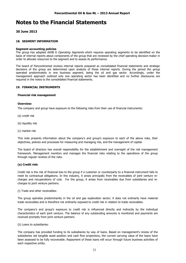#### **30 June 2013**

#### **18. SEGMENT INFORMATION**

#### **Segment accounting policies**

The group has adopted AASB 8 Operating Segments which requires operating segments to be identified on the basis of internal reports about components of the group that are reviewed by the chief operating decision-maker in order to allocate resources to the segment and to assess its performance.

The board of Pancontinental reviews internal reports prepared as consolidated financial statements and strategic decisions of the group are determined upon analysis of these internal reports. During the period the group operated predominately in one business segment, being the oil and gas sector. Accordingly, under the management approach outlined only one operating sector has been identified and no further disclosures are required in the notes to the consolidated financial statements.

#### **19. FINANCIAL INSTRUMENTS**

#### **Financial risk management**

#### **Overview:**

The company and group have exposure to the following risks from their use of financial instruments:

- (a) credit risk
- (b) liquidity risk
- (c) market risk

This note presents information about the company's and group's exposure to each of the above risks, their objectives, policies and processes for measuring and managing risk, and the management of capital.

The board of directors has overall responsibility for the establishment and oversight of the risk management framework. Management monitors and manages the financial risks relating to the operations of the group through regular reviews of the risks.

#### **(a) Credit risk:**

Credit risk is the risk of financial loss to the group if a customer or counterparty to a financial instrument fails to meet its contractual obligations. In this industry, it arises principally from the receivables of joint venture recharges and recuperations of cost. For the group, it arises from receivables due from subsidiaries and recharges to joint venture partners.

(i) Trade and other receivables:

The group operates predominantly in the oil and gas exploration sector; it does not ordinarily have material trade receivables and is therefore not ordinarily exposed to credit risk in relation to trade receivables.

The company's and group's exposure to credit risk is influenced directly and indirectly by the individual characteristics of each joint venture. The balance of any outstanding amounts is monitored and payments are received promptly from joint venture partners.

(ii) Loans to subsidiaries:

The company has provided funding to its subsidiaries by way of loans. Based on management's review of the subsidiaries net tangible asset position and cash flow projections, the current carrying value of the loans have been assessed to be fully recoverable. Repayment of these loans will occur through future business activities of each respective entity.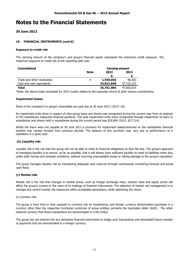#### **30 June 2013**

#### **19. FINANCIAL INSTRUMENTS (cont'd)**

#### **Exposure to credit risk**

The carrying amount of the company's and group's financial assets represents the maximum credit exposure. The maximum exposure to credit risk at the reporting date was:

| <b>Consolidated</b>         |             | <b>Carrying amount</b> |            |  |
|-----------------------------|-------------|------------------------|------------|--|
|                             | <b>Note</b> | 2013                   | 2012       |  |
|                             |             |                        |            |  |
| Trade and other receivables | 4           | 1,930,056              | 98,582     |  |
| Cash and cash equivalents   |             | 33,821,848             | 47,722,233 |  |
| Total                       |             | 35,751,904             | 47,820,815 |  |

\*Note, the above trade receivable for 2013 mostly relates to the expected refund of joint venture contributions.

#### **Impairment losses:**

None of the company's or group's receivables are past due at 30 June 2013, (2012: nil).

An impairment write down in respect of inter-group loans and shares was recognised during the current year from an analysis of the subsidiaries respective financial positions. The total impairment write down recognised through impairment of loans to subsidiaries and shares held in subsidiaries during the current period was \$29,904 (2012: \$27,114).

Whilst the loans were not payable at 30 June 2013 a provision for impairment based/reversed on the subsidiaries financial position was carried forward from previous periods. The balance of this provision may vary due to performance of a subsidiary in a given year.

#### **(b) Liquidity risk:**

Liquidity risk is the risk that the group will not be able to meet its financial obligations as they fall due. The group's approach to managing liquidity is to ensure, as far as possible, that it will always have sufficient liquidity to meet its liabilities when due, under both normal and stressed conditions, without incurring unacceptable losses or risking damage to the group's reputation.

The group manages liquidity risk by maintaining adequate cash reserves through continuously monitoring forecast and actual cash flows.

#### **(c) Market risk:**

Market risk is the risk that changes in market prices, such as foreign exchange rates, interest rates and equity prices will affect the group's income or the value of its holdings of financial instruments. The objective of market risk management is to manage and control market risk exposures within acceptable parameters, while optimising the return.

#### (i) Currency risk:

The group is from time to time exposed to currency risk on investments, and foreign currency denominated purchases in a currency other than the respective functional currencies of group entities, primarily the Australian dollar (AUD). The other material currency that these transactions are denominated in is the (USD).

The group has not entered into any derivative financial instruments to hedge such transactions and anticipated future receipts or payments that are denominated in a foreign currency.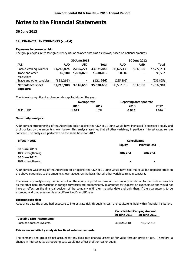#### **30 June 2013**

#### **19. FINANCIAL INSTRUMENTS (cont'd)**

#### **Exposure to currency risk:**

The group's exposure to foreign currency risk at balance date was as follows, based on notional amounts:

|                                |            | 30 June 2013 |              |            | 30 June 2012 |              |
|--------------------------------|------------|--------------|--------------|------------|--------------|--------------|
| <b>AUD</b>                     | <b>AUD</b> | <b>USD</b>   | <b>Total</b> | <b>AUD</b> | <b>USD</b>   | <b>Total</b> |
| Cash & cash equivalents        | 31,766,074 | 2,055,774    | 33,821,848   | 45,675,133 | 2,047,100    | 47,722,233   |
| Trade and other<br>receivables | 69,180     | 1,860,876    | 1,930,056    | 98,582     | -            | 98,582       |
| Trade and other payables       | (121, 266) | ۰            | (121,266)    | (235, 805) | -            | (235,805)    |
| Net balance sheet<br>exposure  | 31,713,988 | 3,916,650    | 35,630,638   | 45,537,910 | 2,047,100    | 45,537,910   |

The following significant exchange rates applied during the year:

|          | Average rate |       | Reporting date spot rate |       |
|----------|--------------|-------|--------------------------|-------|
|          | 2013         | 2012  | 2013                     | 2012  |
| AUD: USD | 1.027        | 1.032 | 0.913                    | 1.016 |

#### **Sensitivity analysis:**

A 10 percent strengthening of the Australian dollar against the USD at 30 June would have increased (decreased) equity and profit or loss by the amounts shown below. This analysis assumes that all other variables, in particular interest rates, remain constant. The analysis is performed on the same basis for 2012.

| <b>Effect in AUD</b> |         | <b>Consolidated</b>   |  |
|----------------------|---------|-----------------------|--|
|                      | Equity  | <b>Profit or loss</b> |  |
| 30 June 2013         |         |                       |  |
| 10% strengthening    | 206,764 | 206,764               |  |
| 30 June 2012         |         |                       |  |
| 10% strengthening    | ۰       |                       |  |

A 10 percent weakening of the Australian dollar against the USD at 30 June would have had the equal but opposite effect on the above currencies to the amounts shown above, on the basis that all other variables remain constant.

The sensitivity analysis only had an effect on the equity or profit and loss of the company in relation to the trade receivables as the other bank transactions in foreign currencies are predominately guarantees for exploration expenditure and would not have an effect on the financial position of the company until their maturity date and only then, if the guarantee is to be extended and that extension is at a different AUD to USD rate.

#### **Interest rate risk:**

At balance date the group had exposure to interest rate risk, through its cash and equivalents held within financial institution.

|                           | <b>Consolidated Carrying Amount</b> |                     |
|---------------------------|-------------------------------------|---------------------|
|                           | <b>30 June 2013</b>                 | <b>30 June 2012</b> |
| Variable rate instruments |                                     |                     |
| Cash and cash equivalents | 33,821,848                          | 47,722,233          |

#### **Fair value sensitivity analysis for fixed rate instruments:**

The company and group do not account for any fixed rate financial assets at fair value through profit or loss. Therefore, a change in interest rates at reporting date would not affect profit or loss or equity.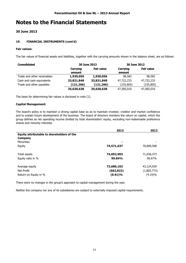#### **30 June 2013**

#### **19. FINANCIAL INSTRUMENTS (cont'd)**

#### **Fair values:**

The fair values of financial assets and liabilities, together with the carrying amounts shown in the balance sheet, are as follows:

| <b>Consolidated</b>         | 30 June 2013 |                   | 30 June 2012 |                   |
|-----------------------------|--------------|-------------------|--------------|-------------------|
|                             | Carrying     | <b>Fair value</b> | Carrying     | <b>Fair value</b> |
|                             | amount       |                   | amount       |                   |
| Trade and other receivables | 1,930,056    | 1,930,056         | 98,582       | 98,582            |
| Cash and cash equivalents   | 33,821,848   | 33,821,848        | 47,722,233   | 47,722,233        |
| Trade and other payables    | (121,266)    | (121, 266)        | (235, 805)   | (235, 805)        |
|                             | 35,630,638   | 35,630,638        | 47,585,010   | 47,585,010        |

The basis for determining fair values is disclosed in note [1].

#### **Capital Management:**

The board's policy is to maintain a strong capital base so as to maintain investor, creditor and market confidence and to sustain future development of the business. The board of directors monitors the return on capital, which the group defines as net operating income divided by total shareholders' equity, excluding non-redeemable preference shares and minority interests.

|                                                              | 2013       | 2012        |
|--------------------------------------------------------------|------------|-------------|
| Equity attributable to shareholders of the<br><b>Company</b> |            |             |
| <b>Minorities</b>                                            | ۰          |             |
| Equity                                                       | 74,571,637 | 70,800,568  |
| Total assets                                                 | 74,692,903 | 71,036,373  |
| Equity ratio in %                                            | 99.84%     | 99.67%      |
| Average equity                                               | 72,686,103 | 43,124,939  |
| Net Profit                                                   | (662, 822) | (1,805,773) |
| Return on Equity in %                                        | (0.91)%    | (4.19)%     |

There were no changes in the group's approach to capital management during the year.

Neither the company nor any of its subsidiaries are subject to externally imposed capital requirements.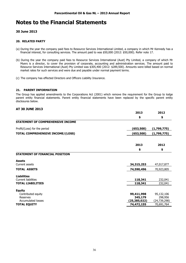#### **30 June 2013**

#### **20. RELATED PARTY**

- (a) During the year the company paid fees to Resource Services International Limited, a company in which Mr Kennedy has a financial interest, for consulting services. The amount paid to was \$50,000 (2012: \$50,000). Refer note 17.
- (b) During the year the company paid fees to Resource Services International (Aust) Pty Limited, a company of which Mr Myers is a director, to cover the provision of corporate, accounting and administration services. The amount paid to Resource Services International (Aust) Pty Limited was \$305,400 (2012: \$289,500). Amounts were billed based on normal market rates for such services and were due and payable under normal payment terms.
- (c) The company has effected Directors and Officers Liability Insurance.

#### **21. PARENT INFORMATION**

The Group has applied amendments to the Corporations Act (2001) which remove the requirement for the Group to lodge parent entity financial statements. Parent entity financial statements have been replaced by the specific parent entity disclosures below.

#### **AT 30 JUNE 2013**

|                                   | 2013           | 2012         |
|-----------------------------------|----------------|--------------|
|                                   | \$             | \$           |
| STATEMENT OF COMPREHENSIVE INCOME |                |              |
| Profit/(Loss) for the period      | (653,500)      | (1,799,775)  |
| TOTAL COMPREHENSIVE INCOME/(LOSS) | (653,500)      | (1,799,775)  |
|                                   | 2013           | 2012         |
|                                   | \$             | \$           |
| STATEMENT OF FINANCIAL POSITION   |                |              |
| <b>Assets</b>                     |                |              |
| Current assets                    | 34,315,253     | 47,017,877   |
| <b>TOTAL ASSETS</b>               | 74,590,496     | 70,923,805   |
| <b>Liabilities</b>                |                |              |
| <b>Current liabilities</b>        | 118,341        | 232,041      |
| <b>TOTAL LIABILITIES</b>          | 118,341        | 232,041      |
| <b>Equity</b>                     |                |              |
| Contributed equity                | 99,411,998     | 95,132,106   |
| Reserves                          | 345,179        | 298,956      |
| <b>Accumulated losses</b>         | (25, 285, 022) | (24,739,298) |
| <b>TOTAL EQUITY</b>               | 74,472,155     | 70,691,764   |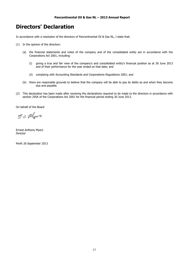### **Directors' Declaration**

In accordance with a resolution of the directors of Pancontinental Oil & Gas NL, I state that:

- (1) In the opinion of the directors:
	- (a) the financial statements and notes of the company and of the consolidated entity are in accordance with the Corporations Act 2001, including:
		- (i) giving a true and fair view of the company's and consolidated entity's financial position as at 30 June 2013 and of their performance for the year ended on that date; and
		- (ii) complying with Accounting Standards and Corporations Regulations 2001; and
	- (b) there are reasonable grounds to believe that the company will be able to pay its debts as and when they become due and payable.
- (2) This declaration has been made after receiving the declarations required to be made to the directors in accordance with section 295A of the Corporations Act 2001 for the financial period ending 30 June 2013.

On behalf of the Board

E.a. Myers

Ernest Anthony Myers Director

Perth 26 September 2013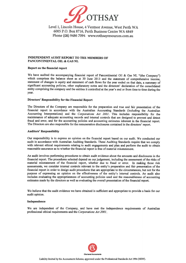

Level 1, Lincoln House, 4 Ventnor Avenue, West Perth WA 6005 P.O. Box 8716, Perth Business Centre WA 6849 Phone (08) 9486 7094 www.rothsayresources.com.au

#### **INDEPENDENT AUDIT REPORT TO THE MEMBERS OF** PANCONTINENTAL OIL & GAS NL

#### Report on the financial report

We have audited the accompanying financial report of Pancontinental Oil & Gas NL "(the Company") which comprises the balance sheet as at 30 June 2013 and the statement of comprehensive income, statement of changes in equity and statement of cash flows for the year ended on that date, a summary of significant accounting policies, other explanatory notes and the directors' declaration of the consolidated entity comprising the company and the entities it controlled at the year's end or from time to time during the year.

#### Directors' Responsibility for the Financial Report

The Directors of the Company are responsible for the preparation and true and fair presentation of the financial report in accordance with the Australian Accounting Standards (including the Australian Accounting Interpretations) and the Corporations Act 2001. This includes responsibility for the maintenance of adequate accounting records and internal controls that are designed to prevent and detect fraud and error, and for the accounting policies and accounting estimates inherent in the financial report. The Directors are also responsible for the remuneration disclosures contained in the directors' report.

#### **Auditors' Responsibility**

Our responsibility is to express an opinion on the financial report based on our audit. We conducted our audit in accordance with Australian Auditing Standards. These Auditing Standards require that we comply with relevant ethical requirements relating to audit engagements and plan and perform the audit to obtain reasonable assurance as to whether the financial report is free of material misstatement.

An audit involves performing procedures to obtain audit evidence about the amounts and disclosures in the financial report. The procedures selected depend on our judgement, including the assessment of the risks of material misstatement of the financial report, whether due to fraud or error. In making those risk assessments, we consider internal controls relevant to the entity's preparation and fair presentation of the financial report in order to design audit procedures that are appropriate to the circumstances, but not for the purpose of expressing an opinion on the effectiveness of the entity's internal controls. An audit also includes evaluating the appropriateness of accounting policies used and the reasonableness of accounting estimates made by the directors as well as evaluating the overall presentation of the financial report.

We believe that the audit evidence we have obtained is sufficient and appropriate to provide a basis for our audit opinion.

#### Independence

We are independent of the Company, and have met the independence requirements of Australian professional ethical requirements and the Corporations Act 2001.